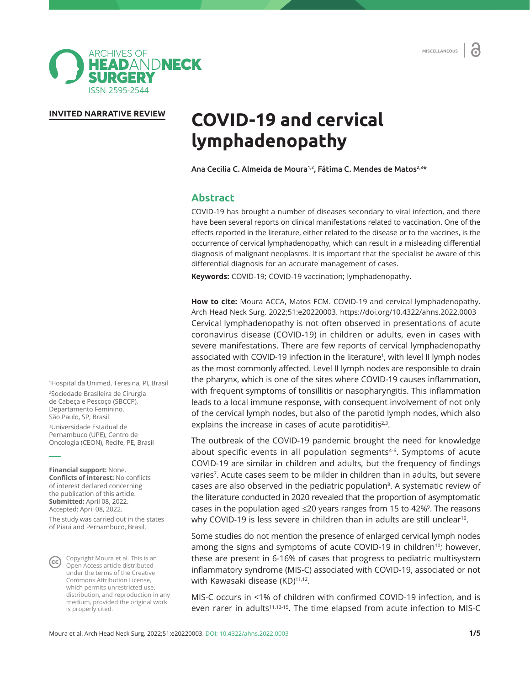**MISCELLANEOUS** 

a



### **INVITED NARRATIVE REVIEW**

# **COVID-19 and cervical lymphadenopathy**

Ana Cecilia C. Almeida de Moura<sup>1,2</sup>, Fátima C. Mendes de Matos<sup>2,3\*</sup>

## **Abstract**

COVID-19 has brought a number of diseases secondary to viral infection, and there have been several reports on clinical manifestations related to vaccination. One of the effects reported in the literature, either related to the disease or to the vaccines, is the occurrence of cervical lymphadenopathy, which can result in a misleading differential diagnosis of malignant neoplasms. It is important that the specialist be aware of this differential diagnosis for an accurate management of cases.

**Keywords:** COVID-19; COVID-19 vaccination; lymphadenopathy.

**How to cite:** Moura ACCA, Matos FCM. COVID-19 and cervical lymphadenopathy. Arch Head Neck Surg. 2022;51:e20220003. https://doi.org/10.4322/ahns.2022.0003 Cervical lymphadenopathy is not often observed in presentations of acute coronavirus disease (COVID-19) in children or adults, even in cases with severe manifestations. There are few reports of cervical lymphadenopathy associated with COVID-19 infection in the literature<sup>1</sup>, with level II lymph nodes as the most commonly affected. Level II lymph nodes are responsible to drain the pharynx, which is one of the sites where COVID-19 causes inflammation, with frequent symptoms of tonsillitis or nasopharyngitis. This inflammation leads to a local immune response, with consequent involvement of not only of the cervical lymph nodes, but also of the parotid lymph nodes, which also explains the increase in cases of acute parotiditis $2,3$ .

The outbreak of the COVID-19 pandemic brought the need for knowledge about specific events in all population segments<sup>4-6</sup>. Symptoms of acute COVID-19 are similar in children and adults, but the frequency of findings varies<sup>7</sup>. Acute cases seem to be milder in children than in adults, but severe cases are also observed in the pediatric population<sup>8</sup>. A systematic review of the literature conducted in 2020 revealed that the proportion of asymptomatic cases in the population aged  $\leq$ 20 years ranges from 15 to 42%<sup>9</sup>. The reasons why COVID-19 is less severe in children than in adults are still unclear<sup>10</sup>.

Some studies do not mention the presence of enlarged cervical lymph nodes among the signs and symptoms of acute COVID-19 in children<sup>10</sup>; however, these are present in 6-16% of cases that progress to pediatric multisystem inflammatory syndrome (MIS-C) associated with COVID-19, associated or not with Kawasaki disease (KD)<sup>11,12</sup>.

MIS-C occurs in <1% of children with confirmed COVID-19 infection, and is even rarer in adults<sup>11,13-15</sup>. The time elapsed from acute infection to MIS-C

1 Hospital da Unimed, Teresina, PI, Brasil 2 Sociedade Brasileira de Cirurgia de Cabeça e Pescoço (SBCCP), Departamento Feminino, São Paulo, SP, Brasil 3 Universidade Estadual de Pernambuco (UPE), Centro de Oncologia (CEON), Recife, PE, Brasil

**Financial support:** None. **Conflicts of interest:** No conflicts of interest declared concerning the publication of this article. **Submitted:** April 08, 2022. Accepted: April 08, 2022.

The study was carried out in the states of Piaui and Pernambuco, Brasil.

Copyright Moura et al. This is an CC Copyright models communicated<br>Open Access article distributed under the terms of the Creative Commons Attribution License, which permits unrestricted use, distribution, and reproduction in any medium, provided the original work is properly cited.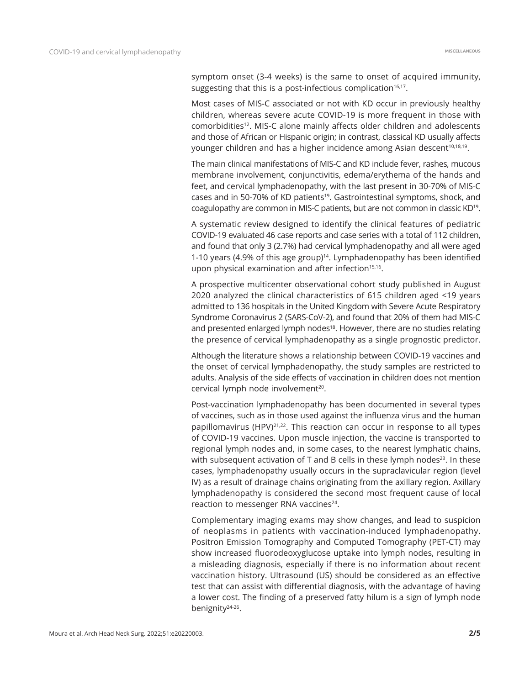symptom onset (3-4 weeks) is the same to onset of acquired immunity, suggesting that this is a post-infectious complication $16,17$ .

Most cases of MIS-C associated or not with KD occur in previously healthy children, whereas severe acute COVID-19 is more frequent in those with comorbidities<sup>12</sup>. MIS-C alone mainly affects older children and adolescents and those of African or Hispanic origin; in contrast, classical KD usually affects younger children and has a higher incidence among Asian descent<sup>10,18,19</sup>.

The main clinical manifestations of MIS-C and KD include fever, rashes, mucous membrane involvement, conjunctivitis, edema/erythema of the hands and feet, and cervical lymphadenopathy, with the last present in 30-70% of MIS-C cases and in 50-70% of KD patients<sup>19</sup>. Gastrointestinal symptoms, shock, and coagulopathy are common in MIS-C patients, but are not common in classic KD19.

A systematic review designed to identify the clinical features of pediatric COVID-19 evaluated 46 case reports and case series with a total of 112 children, and found that only 3 (2.7%) had cervical lymphadenopathy and all were aged 1-10 years (4.9% of this age group)<sup>14</sup>. Lymphadenopathy has been identified upon physical examination and after infection $15,16$ .

A prospective multicenter observational cohort study published in August 2020 analyzed the clinical characteristics of 615 children aged <19 years admitted to 136 hospitals in the United Kingdom with Severe Acute Respiratory Syndrome Coronavirus 2 (SARS-CoV-2), and found that 20% of them had MIS-C and presented enlarged lymph nodes<sup>18</sup>. However, there are no studies relating the presence of cervical lymphadenopathy as a single prognostic predictor.

Although the literature shows a relationship between COVID-19 vaccines and the onset of cervical lymphadenopathy, the study samples are restricted to adults. Analysis of the side effects of vaccination in children does not mention cervical lymph node involvement<sup>20</sup>.

Post-vaccination lymphadenopathy has been documented in several types of vaccines, such as in those used against the influenza virus and the human papillomavirus (HPV)<sup>21,22</sup>. This reaction can occur in response to all types of COVID-19 vaccines. Upon muscle injection, the vaccine is transported to regional lymph nodes and, in some cases, to the nearest lymphatic chains, with subsequent activation of T and B cells in these lymph nodes<sup>23</sup>. In these cases, lymphadenopathy usually occurs in the supraclavicular region (level IV) as a result of drainage chains originating from the axillary region. Axillary lymphadenopathy is considered the second most frequent cause of local reaction to messenger RNA vaccines<sup>24</sup>.

Complementary imaging exams may show changes, and lead to suspicion of neoplasms in patients with vaccination-induced lymphadenopathy. Positron Emission Tomography and Computed Tomography (PET-CT) may show increased fluorodeoxyglucose uptake into lymph nodes, resulting in a misleading diagnosis, especially if there is no information about recent vaccination history. Ultrasound (US) should be considered as an effective test that can assist with differential diagnosis, with the advantage of having a lower cost. The finding of a preserved fatty hilum is a sign of lymph node benignity24-26.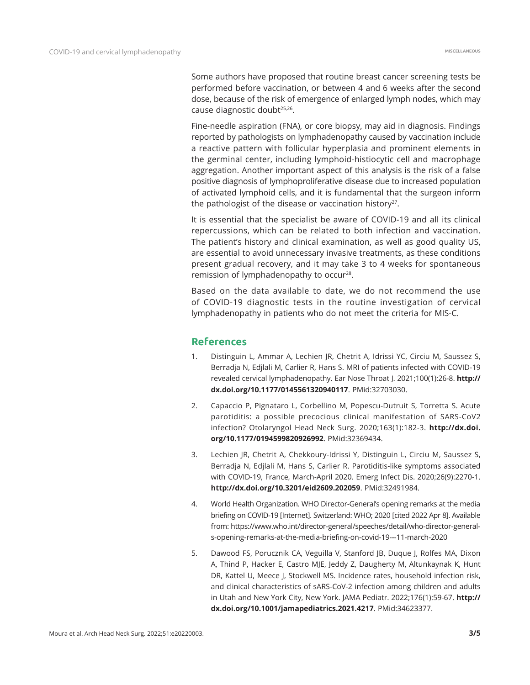Some authors have proposed that routine breast cancer screening tests be performed before vaccination, or between 4 and 6 weeks after the second dose, because of the risk of emergence of enlarged lymph nodes, which may cause diagnostic doubt<sup>25,26</sup>.

Fine-needle aspiration (FNA), or core biopsy, may aid in diagnosis. Findings reported by pathologists on lymphadenopathy caused by vaccination include a reactive pattern with follicular hyperplasia and prominent elements in the germinal center, including lymphoid-histiocytic cell and macrophage aggregation. Another important aspect of this analysis is the risk of a false positive diagnosis of lymphoproliferative disease due to increased population of activated lymphoid cells, and it is fundamental that the surgeon inform the pathologist of the disease or vaccination history<sup>27</sup>.

It is essential that the specialist be aware of COVID-19 and all its clinical repercussions, which can be related to both infection and vaccination. The patient's history and clinical examination, as well as good quality US, are essential to avoid unnecessary invasive treatments, as these conditions present gradual recovery, and it may take 3 to 4 weeks for spontaneous remission of lymphadenopathy to occur<sup>28</sup>.

Based on the data available to date, we do not recommend the use of COVID-19 diagnostic tests in the routine investigation of cervical lymphadenopathy in patients who do not meet the criteria for MIS-C.

## **References**

- 1. Distinguin L, Ammar A, Lechien JR, Chetrit A, Idrissi YC, Circiu M, Saussez S, Berradja N, Edjlali M, Carlier R, Hans S. MRI of patients infected with COVID-19 revealed cervical lymphadenopathy. Ear Nose Throat J. 2021;100(1):26-8. **[http://](https://doi.org/10.1177/0145561320940117) [dx.doi.org/10.1177/0145561320940117](https://doi.org/10.1177/0145561320940117)**. [PMid:32703030.](https://www.ncbi.nlm.nih.gov/entrez/query.fcgi?cmd=Retrieve&db=PubMed&list_uids=32703030&dopt=Abstract)
- 2. Capaccio P, Pignataro L, Corbellino M, Popescu-Dutruit S, Torretta S. Acute parotiditis: a possible precocious clinical manifestation of SARS-CoV2 infection? Otolaryngol Head Neck Surg. 2020;163(1):182-3. **[http://dx.doi.](https://doi.org/10.1177/0194599820926992) [org/10.1177/0194599820926992](https://doi.org/10.1177/0194599820926992)**[. PMid:32369434.](https://www.ncbi.nlm.nih.gov/entrez/query.fcgi?cmd=Retrieve&db=PubMed&list_uids=32369434&dopt=Abstract)
- 3. Lechien JR, Chetrit A, Chekkoury-Idrissi Y, Distinguin L, Circiu M, Saussez S, Berradja N, Edjlali M, Hans S, Carlier R. Parotiditis-like symptoms associated with COVID-19, France, March-April 2020. Emerg Infect Dis. 2020;26(9):2270-1. **[http://dx.doi.org/10.3201/eid2609.202059](https://doi.org/10.3201/eid2609.202059)**. [PMid:32491984.](https://www.ncbi.nlm.nih.gov/entrez/query.fcgi?cmd=Retrieve&db=PubMed&list_uids=32491984&dopt=Abstract)
- 4. World Health Organization. WHO Director-General's opening remarks at the media briefing on COVID-19 [Internet]. Switzerland: WHO; 2020 [cited 2022 Apr 8]. Available from: https://www.who.int/director-general/speeches/detail/who-director-generals-opening-remarks-at-the-media-briefing-on-covid-19---11-march-2020
- 5. Dawood FS, Porucznik CA, Veguilla V, Stanford JB, Duque J, Rolfes MA, Dixon A, Thind P, Hacker E, Castro MJE, Jeddy Z, Daugherty M, Altunkaynak K, Hunt DR, Kattel U, Meece J, Stockwell MS. Incidence rates, household infection risk, and clinical characteristics of sARS-CoV-2 infection among children and adults in Utah and New York City, New York. JAMA Pediatr. 2022;176(1):59-67. **[http://](https://doi.org/10.1001/jamapediatrics.2021.4217) [dx.doi.org/10.1001/jamapediatrics.2021.4217](https://doi.org/10.1001/jamapediatrics.2021.4217)**[. PMid:34623377.](https://www.ncbi.nlm.nih.gov/entrez/query.fcgi?cmd=Retrieve&db=PubMed&list_uids=34623377&dopt=Abstract)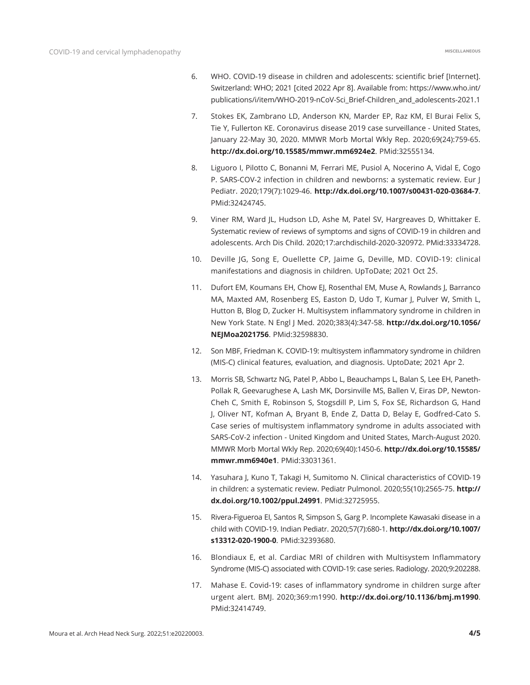- 6. WHO. COVID-19 disease in children and adolescents: scientific brief [Internet]. Switzerland: WHO; 2021 [cited 2022 Apr 8]. Available from: https://www.who.int/ publications/i/item/WHO-2019-nCoV-Sci\_Brief-Children\_and\_adolescents-2021.1
- 7. Stokes EK, Zambrano LD, Anderson KN, Marder EP, Raz KM, El Burai Felix S, Tie Y, Fullerton KE. Coronavirus disease 2019 case surveillance - United States, January 22-May 30, 2020. MMWR Morb Mortal Wkly Rep. 2020;69(24):759-65. **[http://dx.doi.org/10.15585/mmwr.mm6924e2](https://doi.org/10.15585/mmwr.mm6924e2)**. [PMid:32555134.](https://www.ncbi.nlm.nih.gov/entrez/query.fcgi?cmd=Retrieve&db=PubMed&list_uids=32555134&dopt=Abstract)
- 8. Liguoro I, Pilotto C, Bonanni M, Ferrari ME, Pusiol A, Nocerino A, Vidal E, Cogo P. SARS-COV-2 infection in children and newborns: a systematic review. Eur J Pediatr. 2020;179(7):1029-46. **[http://dx.doi.org/10.1007/s00431-020-03684-7](https://doi.org/10.1007/s00431-020-03684-7)**. [PMid:32424745.](https://www.ncbi.nlm.nih.gov/entrez/query.fcgi?cmd=Retrieve&db=PubMed&list_uids=32424745&dopt=Abstract)
- 9. Viner RM, Ward JL, Hudson LD, Ashe M, Patel SV, Hargreaves D, Whittaker E. Systematic review of reviews of symptoms and signs of COVID-19 in children and adolescents. Arch Dis Child. 2020;17:archdischild-2020-320972[. PMid:33334728.](https://www.ncbi.nlm.nih.gov/entrez/query.fcgi?cmd=Retrieve&db=PubMed&list_uids=33334728&dopt=Abstract)
- 10. Deville JG, Song E, Ouellette CP, Jaime G, Deville, MD. COVID-19: clinical manifestations and diagnosis in children. UpToDate; 2021 Oct 25.
- 11. Dufort EM, Koumans EH, Chow EJ, Rosenthal EM, Muse A, Rowlands J, Barranco MA, Maxted AM, Rosenberg ES, Easton D, Udo T, Kumar J, Pulver W, Smith L, Hutton B, Blog D, Zucker H. Multisystem inflammatory syndrome in children in New York State. N Engl J Med. 2020;383(4):347-58. **[http://dx.doi.org/10.1056/](https://doi.org/10.1056/NEJMoa2021756) [NEJMoa2021756](https://doi.org/10.1056/NEJMoa2021756)**. [PMid:32598830.](https://www.ncbi.nlm.nih.gov/entrez/query.fcgi?cmd=Retrieve&db=PubMed&list_uids=32598830&dopt=Abstract)
- 12. Son MBF, Friedman K. COVID-19: multisystem inflammatory syndrome in children (MIS-C) clinical features, evaluation, and diagnosis. UptoDate; 2021 Apr 2.
- 13. Morris SB, Schwartz NG, Patel P, Abbo L, Beauchamps L, Balan S, Lee EH, Paneth-Pollak R, Geevarughese A, Lash MK, Dorsinville MS, Ballen V, Eiras DP, Newton-Cheh C, Smith E, Robinson S, Stogsdill P, Lim S, Fox SE, Richardson G, Hand J, Oliver NT, Kofman A, Bryant B, Ende Z, Datta D, Belay E, Godfred-Cato S. Case series of multisystem inflammatory syndrome in adults associated with SARS-CoV-2 infection - United Kingdom and United States, March-August 2020. MMWR Morb Mortal Wkly Rep. 2020;69(40):1450-6. **[http://dx.doi.org/10.15585/](https://doi.org/10.15585/mmwr.mm6940e1) [mmwr.mm6940e1](https://doi.org/10.15585/mmwr.mm6940e1)**[. PMid:33031361.](https://www.ncbi.nlm.nih.gov/entrez/query.fcgi?cmd=Retrieve&db=PubMed&list_uids=33031361&dopt=Abstract)
- 14. Yasuhara J, Kuno T, Takagi H, Sumitomo N. Clinical characteristics of COVID‐19 in children: a systematic review. Pediatr Pulmonol. 2020;55(10):2565-75. **[http://](https://doi.org/10.1002/ppul.24991) [dx.doi.org/10.1002/ppul.24991](https://doi.org/10.1002/ppul.24991)**. [PMid:32725955.](https://www.ncbi.nlm.nih.gov/entrez/query.fcgi?cmd=Retrieve&db=PubMed&list_uids=32725955&dopt=Abstract)
- 15. Rivera-Figueroa EI, Santos R, Simpson S, Garg P. Incomplete Kawasaki disease in a child with COVID-19. Indian Pediatr. 2020;57(7):680-1. **[http://dx.doi.org/10.1007/](https://doi.org/10.1007/s13312-020-1900-0) [s13312-020-1900-0](https://doi.org/10.1007/s13312-020-1900-0)**. [PMid:32393680.](https://www.ncbi.nlm.nih.gov/entrez/query.fcgi?cmd=Retrieve&db=PubMed&list_uids=32393680&dopt=Abstract)
- 16. Blondiaux E, et al. Cardiac MRI of children with Multisystem Inflammatory Syndrome (MIS-C) associated with COVID-19: case series. Radiology. 2020;9:202288.
- 17. Mahase E. Covid-19: cases of inflammatory syndrome in children surge after urgent alert. BMJ. 2020;369:m1990. **[http://dx.doi.org/10.1136/bmj.m1990](https://doi.org/10.1136/bmj.m1990)**. [PMid:32414749.](https://www.ncbi.nlm.nih.gov/entrez/query.fcgi?cmd=Retrieve&db=PubMed&list_uids=32414749&dopt=Abstract)